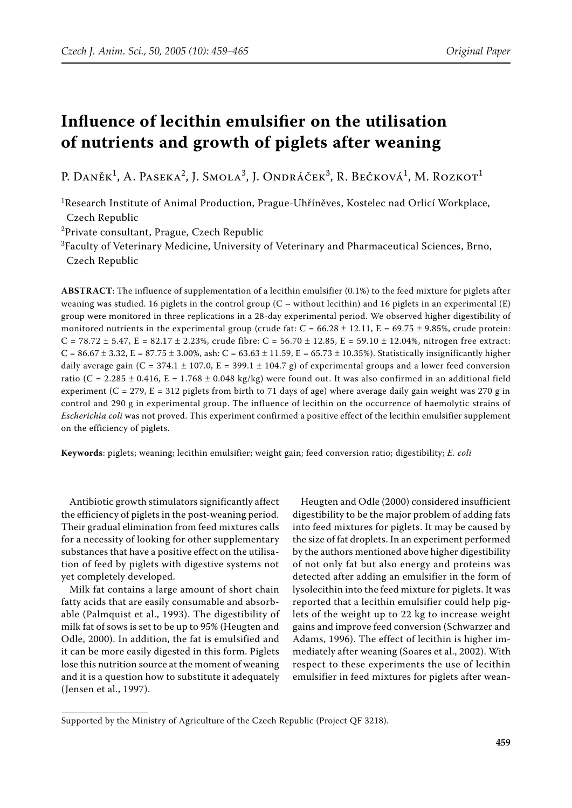# **Influence of lecithin emulsifier on the utilisation of nutrients and growth of piglets after weaning**

P. Daněk<sup>1</sup>, A. Paseka<sup>2</sup>, J. Smola<sup>3</sup>, J. Ondráček<sup>3</sup>, R. Bečková<sup>1</sup>, M. Rozkot<sup>1</sup>

<sup>1</sup>Research Institute of Animal Production, Prague-Uhříněves, Kostelec nad Orlicí Workplace, Czech Republic

2 Private consultant, Prague, Czech Republic

 ${}^{3}$ Faculty of Veterinary Medicine, University of Veterinary and Pharmaceutical Sciences, Brno, Czech Republic

**ABSTRACT**: The influence of supplementation of a lecithin emulsifier (0.1%) to the feed mixture for piglets after weaning was studied. 16 piglets in the control group  $(C -$  without lecithin) and 16 piglets in an experimental  $(E)$ group were monitored in three replications in a 28-day experimental period. We observed higher digestibility of monitored nutrients in the experimental group (crude fat:  $C = 66.28 \pm 12.11$ ,  $E = 69.75 \pm 9.85$ %, crude protein:  $C = 78.72 \pm 5.47$ ,  $E = 82.17 \pm 2.23$ %, crude fibre:  $C = 56.70 \pm 12.85$ ,  $E = 59.10 \pm 12.04$ %, nitrogen free extract:  $C = 86.67 \pm 3.32$ ,  $E = 87.75 \pm 3.00$ %, ash:  $C = 63.63 \pm 11.59$ ,  $E = 65.73 \pm 10.35$ %). Statistically insignificantly higher daily average gain (C = 374.1  $\pm$  107.0, E = 399.1  $\pm$  104.7 g) of experimental groups and a lower feed conversion ratio (C = 2.285  $\pm$  0.416, E = 1.768  $\pm$  0.048 kg/kg) were found out. It was also confirmed in an additional field experiment (C = 279, E = 312 piglets from birth to 71 days of age) where average daily gain weight was 270 g in control and 290 g in experimental group. The influence of lecithin on the occurrence of haemolytic strains of *Escherichia coli* was not proved. This experiment confirmed a positive effect of the lecithin emulsifier supplement on the efficiency of piglets.

**Keywords**: piglets; weaning; lecithin emulsifier; weight gain; feed conversion ratio; digestibility; *E. coli*

Antibiotic growth stimulators significantly affect the efficiency of piglets in the post-weaning period. Their gradual elimination from feed mixtures calls for a necessity of looking for other supplementary substances that have a positive effect on the utilisation of feed by piglets with digestive systems not yet completely developed.

Milk fat contains a large amount of short chain fatty acids that are easily consumable and absorbable (Palmquist et al., 1993). The digestibility of milk fat of sows is set to be up to 95% (Heugten and Odle, 2000). In addition, the fat is emulsified and it can be more easily digested in this form. Piglets lose this nutrition source at the moment of weaning and it is a question how to substitute it adequately (Jensen et al., 1997).

Heugten and Odle (2000) considered insufficient digestibility to be the major problem of adding fats into feed mixtures for piglets. It may be caused by the size of fat droplets. In an experiment performed by the authors mentioned above higher digestibility of not only fat but also energy and proteins was detected after adding an emulsifier in the form of lysolecithin into the feed mixture for piglets. It was reported that a lecithin emulsifier could help piglets of the weight up to 22 kg to increase weight gains and improve feed conversion (Schwarzer and Adams, 1996). The effect of lecithin is higher immediately after weaning (Soares et al., 2002). With respect to these experiments the use of lecithin emulsifier in feed mixtures for piglets after wean-

Supported by the Ministry of Agriculture of the Czech Republic (Project QF 3218).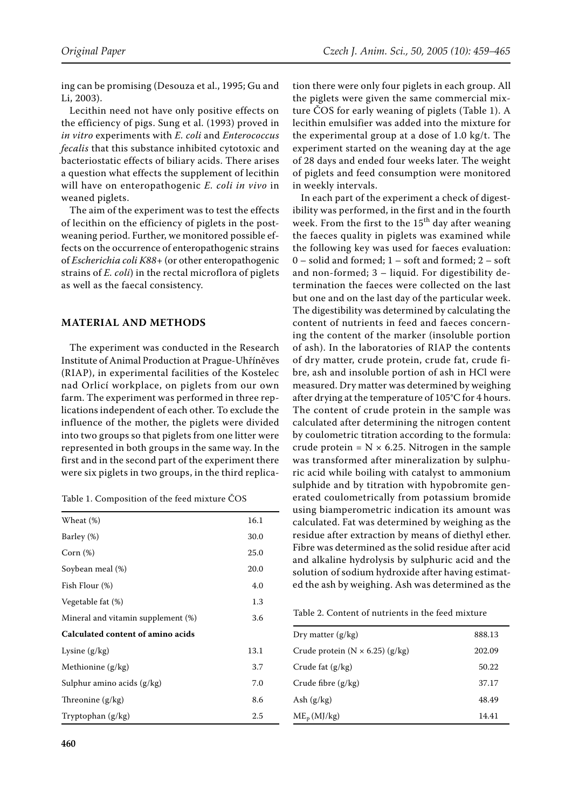ing can be promising (Desouza et al., 1995; Gu and Li, 2003).

Lecithin need not have only positive effects on the efficiency of pigs. Sung et al. (1993) proved in *in vitro* experiments with *E. coli* and *Enterococcus fecalis* that this substance inhibited cytotoxic and bacteriostatic effects of biliary acids. There arises a question what effects the supplement of lecithin will have on enteropathogenic *E. coli in vivo* in weaned piglets.

The aim of the experiment was to test the effects of lecithin on the efficiency of piglets in the postweaning period. Further, we monitored possible effects on the occurrence of enteropathogenic strains of *Escherichia coli K88*+ (or other enteropathogenic strains of *E. coli*) in the rectal microflora of piglets as well as the faecal consistency.

# **MATERIAL AND METHODS**

The experiment was conducted in the Research Institute of Animal Production at Prague-Uhříněves (RIAP), in experimental facilities of the Kostelec nad Orlicí workplace, on piglets from our own farm. The experiment was performed in three replications independent of each other. To exclude the influence of the mother, the piglets were divided into two groups so that piglets from one litter were represented in both groups in the same way. In the first and in the second part of the experiment there were six piglets in two groups, in the third replica-

Table 1. Composition of the feed mixture ČOS

| Wheat (%)                                | 16.1 |
|------------------------------------------|------|
| Barley (%)                               | 30.0 |
| $Corn(\%)$                               | 25.0 |
| Soybean meal (%)                         | 20.0 |
| Fish Flour (%)                           | 4.0  |
| Vegetable fat (%)                        | 1.3  |
| Mineral and vitamin supplement (%)       | 3.6  |
| <b>Calculated content of amino acids</b> |      |
| Lysine $(g/kg)$                          | 13.1 |
| Methionine $(g/kg)$                      | 3.7  |
| Sulphur amino acids (g/kg)               | 7.0  |
| Threonine (g/kg)                         | 8.6  |
| Tryptophan (g/kg)                        | 2.5  |

tion there were only four piglets in each group. All the piglets were given the same commercial mixture ČOS for early weaning of piglets (Table 1). A lecithin emulsifier was added into the mixture for the experimental group at a dose of 1.0 kg/t. The experiment started on the weaning day at the age of 28 days and ended four weeks later. The weight of piglets and feed consumption were monitored in weekly intervals.

In each part of the experiment a check of digestibility was performed, in the first and in the fourth week. From the first to the  $15<sup>th</sup>$  day after weaning the faeces quality in piglets was examined while the following key was used for faeces evaluation: 0 – solid and formed; 1 – soft and formed; 2 – soft and non-formed; 3 – liquid. For digestibility determination the faeces were collected on the last but one and on the last day of the particular week. The digestibility was determined by calculating the content of nutrients in feed and faeces concerning the content of the marker (insoluble portion of ash). In the laboratories of RIAP the contents of dry matter, crude protein, crude fat, crude fibre, ash and insoluble portion of ash in HCl were measured. Dry matter was determined by weighing after drying at the temperature of 105°C for 4 hours. The content of crude protein in the sample was calculated after determining the nitrogen content by coulometric titration according to the formula: crude protein =  $N \times 6.25$ . Nitrogen in the sample was transformed after mineralization by sulphuric acid while boiling with catalyst to ammonium sulphide and by titration with hypobromite generated coulometrically from potassium bromide using biamperometric indication its amount was calculated. Fat was determined by weighing as the residue after extraction by means of diethyl ether. Fibre was determined as the solid residue after acid and alkaline hydrolysis by sulphuric acid and the solution of sodium hydroxide after having estimated the ash by weighing. Ash was determined as the

Table 2. Content of nutrients in the feed mixture

| Dry matter $(g/kg)$                    | 888.13 |
|----------------------------------------|--------|
| Crude protein $(N \times 6.25)$ (g/kg) | 202.09 |
| Crude fat $(g/kg)$                     | 50.22  |
| Crude fibre $(g/kg)$                   | 37.17  |
| Ash $(g/kg)$                           | 48.49  |
| ME <sub>p</sub> (MJ/kg)                | 14.41  |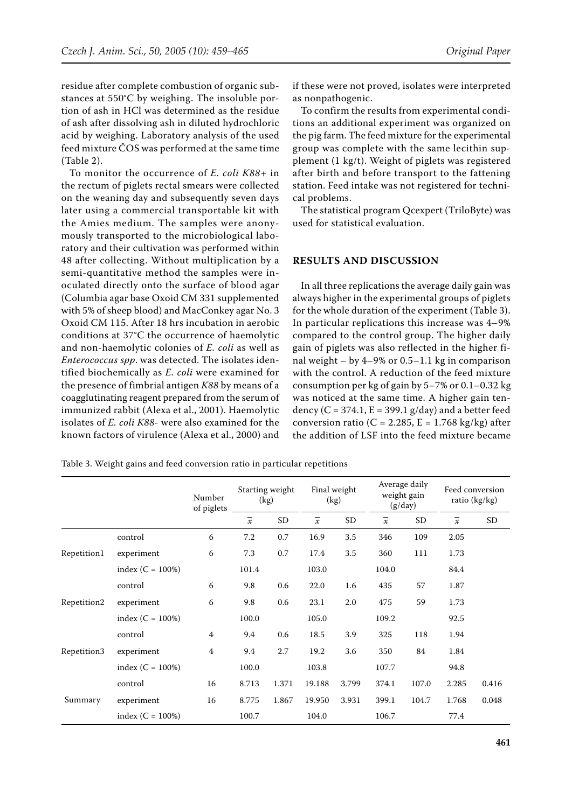residue after complete combustion of organic substances at 550°C by weighing. The insoluble portion of ash in HCl was determined as the residue of ash after dissolving ash in diluted hydrochloric acid by weighing. Laboratory analysis of the used feed mixture ČOS was performed at the same time (Table 2).

To monitor the occurrence of *E. coli K88+* in the rectum of piglets rectal smears were collected on the weaning day and subsequently seven days later using a commercial transportable kit with the Amies medium. The samples were anonymously transported to the microbiological laboratory and their cultivation was performed within 48 after collecting. Without multiplication by a semi-quantitative method the samples were inoculated directly onto the surface of blood agar (Columbia agar base Oxoid CM 331 supplemented with 5% of sheep blood) and MacConkey agar No. 3 Oxoid CM 115. After 18 hrs incubation in aerobic conditions at 37°C the occurrence of haemolytic and non-haemolytic colonies of *E. coli* as well as *Enterococcus spp*. was detected. The isolates identified biochemically as *E. coli* were examined for the presence of fimbrial antigen *K88* by means of a coagglutinating reagent prepared from the serum of immunized rabbit (Alexa et al., 2001). Haemolytic isolates of *E. coli K88-* were also examined for the known factors of virulence (Alexa et al., 2000) and

if these were not proved, isolates were interpreted as nonpathogenic.

To confirm the results from experimental conditions an additional experiment was organized on the pig farm. The feed mixture for the experimental group was complete with the same lecithin supplement (1 kg/t). Weight of piglets was registered after birth and before transport to the fattening station. Feed intake was not registered for technical problems.

The statistical program Qcexpert (TriloByte) was used for statistical evaluation.

#### **RESULTS AND DISCUSSION**

In all three replications the average daily gain was always higher in the experimental groups of piglets for the whole duration of the experiment (Table 3). In particular replications this increase was 4–9% compared to the control group. The higher daily gain of piglets was also reflected in the higher final weight – by 4–9% or 0.5–1.1 kg in comparison with the control. A reduction of the feed mixture consumption per kg of gain by 5–7% or 0.1–0.32 kg was noticed at the same time. A higher gain tendency ( $C = 374.1$ ,  $E = 399.1$  g/day) and a better feed conversion ratio (C = 2.285, E = 1.768 kg/kg) after the addition of LSF into the feed mixture became

Table 3. Weight gains and feed conversion ratio in particular repetitions

|             |                     | Number<br>of piglets | Starting weight<br>(kg) |           | Final weight<br>(kg) |           | Average daily<br>weight gain<br>(g/day) |           | Feed conversion<br>ratio (kg/kg) |           |
|-------------|---------------------|----------------------|-------------------------|-----------|----------------------|-----------|-----------------------------------------|-----------|----------------------------------|-----------|
|             |                     |                      | $\overline{x}$          | <b>SD</b> | $\overline{x}$       | <b>SD</b> | $\overline{x}$                          | <b>SD</b> | $\overline{x}$                   | <b>SD</b> |
|             | control             | 6                    | 7.2                     | 0.7       | 16.9                 | 3.5       | 346                                     | 109       | 2.05                             |           |
| Repetition1 | experiment          | 6                    | 7.3                     | 0.7       | 17.4                 | 3.5       | 360                                     | 111       | 1.73                             |           |
|             | index $(C = 100\%)$ |                      | 101.4                   |           | 103.0                |           | 104.0                                   |           | 84.4                             |           |
|             | control             | 6                    | 9.8                     | 0.6       | 22.0                 | 1.6       | 435                                     | 57        | 1.87                             |           |
| Repetition2 | experiment          | 6                    | 9.8                     | 0.6       | 23.1                 | 2.0       | 475                                     | 59        | 1.73                             |           |
|             | index $(C = 100\%)$ |                      | 100.0                   |           | 105.0                |           | 109.2                                   |           | 92.5                             |           |
|             | control             | $\overline{4}$       | 9.4                     | 0.6       | 18.5                 | 3.9       | 325                                     | 118       | 1.94                             |           |
| Repetition3 | experiment          | $\overline{4}$       | 9.4                     | 2.7       | 19.2                 | 3.6       | 350                                     | 84        | 1.84                             |           |
|             | index $(C = 100\%)$ |                      | 100.0                   |           | 103.8                |           | 107.7                                   |           | 94.8                             |           |
|             | control             | 16                   | 8.713                   | 1.371     | 19.188               | 3.799     | 374.1                                   | 107.0     | 2.285                            | 0.416     |
| Summary     | experiment          | 16                   | 8.775                   | 1.867     | 19.950               | 3.931     | 399.1                                   | 104.7     | 1.768                            | 0.048     |
|             | index $(C = 100\%)$ |                      | 100.7                   |           | 104.0                |           | 106.7                                   |           | 77.4                             |           |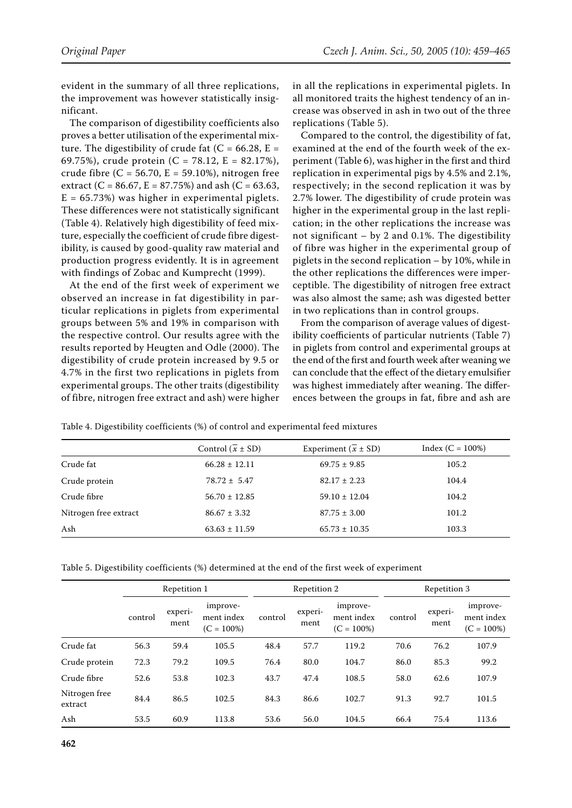evident in the summary of all three replications, the improvement was however statistically insignificant.

The comparison of digestibility coefficients also proves a better utilisation of the experimental mixture. The digestibility of crude fat  $(C = 66.28, E =$ 69.75%), crude protein (C = 78.12, E = 82.17%), crude fibre (C = 56.70, E = 59.10%), nitrogen free extract (C = 86.67, E = 87.75%) and ash (C = 63.63,  $E = 65.73\%$ ) was higher in experimental piglets. These differences were not statistically significant (Table 4). Relatively high digestibility of feed mixture, especially the coefficient of crude fibre digestibility, is caused by good-quality raw material and production progress evidently. It is in agreement with findings of Zobac and Kumprecht (1999).

At the end of the first week of experiment we observed an increase in fat digestibility in particular replications in piglets from experimental groups between 5% and 19% in comparison with the respective control. Our results agree with the results reported by Heugten and Odle (2000). The digestibility of crude protein increased by 9.5 or 4.7% in the first two replications in piglets from experimental groups. The other traits (digestibility of fibre, nitrogen free extract and ash) were higher in all the replications in experimental piglets. In all monitored traits the highest tendency of an increase was observed in ash in two out of the three replications (Table 5).

Compared to the control, the digestibility of fat, examined at the end of the fourth week of the experiment (Table 6), was higher in the first and third replication in experimental pigs by 4.5% and 2.1%, respectively; in the second replication it was by 2.7% lower. The digestibility of crude protein was higher in the experimental group in the last replication; in the other replications the increase was not significant – by 2 and 0.1%. The digestibility of fibre was higher in the experimental group of piglets in the second replication – by 10%, while in the other replications the differences were imperceptible. The digestibility of nitrogen free extract was also almost the same; ash was digested better in two replications than in control groups.

From the comparison of average values of digestibility coefficients of particular nutrients (Table 7) in piglets from control and experimental groups at the end of the first and fourth week after weaning we can conclude that the effect of the dietary emulsifier was highest immediately after weaning. The differences between the groups in fat, fibre and ash are

Table 4. Digestibility coefficients (%) of control and experimental feed mixtures

|                       | Control $(\bar{x} \pm SD)$ | Experiment ( $\bar{x}$ ± SD) | Index $(C = 100\%)$ |
|-----------------------|----------------------------|------------------------------|---------------------|
| Crude fat             | $66.28 \pm 12.11$          | $69.75 \pm 9.85$             | 105.2               |
| Crude protein         | $78.72 \pm 5.47$           | $82.17 \pm 2.23$             | 104.4               |
| Crude fibre           | $56.70 \pm 12.85$          | $59.10 \pm 12.04$            | 104.2               |
| Nitrogen free extract | $86.67 \pm 3.32$           | $87.75 \pm 3.00$             | 101.2               |
| Ash                   | $63.63 \pm 11.59$          | $65.73 \pm 10.35$            | 103.3               |

Table 5. Digestibility coefficients (%) determined at the end of the first week of experiment

|                          | Repetition 1 |                 |                                         |         | Repetition 2    |                                         | Repetition 3 |                 |                                         |
|--------------------------|--------------|-----------------|-----------------------------------------|---------|-----------------|-----------------------------------------|--------------|-----------------|-----------------------------------------|
|                          | control      | experi-<br>ment | improve-<br>ment index<br>$(C = 100\%)$ | control | experi-<br>ment | improve-<br>ment index<br>$(C = 100\%)$ | control      | experi-<br>ment | improve-<br>ment index<br>$(C = 100\%)$ |
| Crude fat                | 56.3         | 59.4            | 105.5                                   | 48.4    | 57.7            | 119.2                                   | 70.6         | 76.2            | 107.9                                   |
| Crude protein            | 72.3         | 79.2            | 109.5                                   | 76.4    | 80.0            | 104.7                                   | 86.0         | 85.3            | 99.2                                    |
| Crude fibre              | 52.6         | 53.8            | 102.3                                   | 43.7    | 47.4            | 108.5                                   | 58.0         | 62.6            | 107.9                                   |
| Nitrogen free<br>extract | 84.4         | 86.5            | 102.5                                   | 84.3    | 86.6            | 102.7                                   | 91.3         | 92.7            | 101.5                                   |
| Ash                      | 53.5         | 60.9            | 113.8                                   | 53.6    | 56.0            | 104.5                                   | 66.4         | 75.4            | 113.6                                   |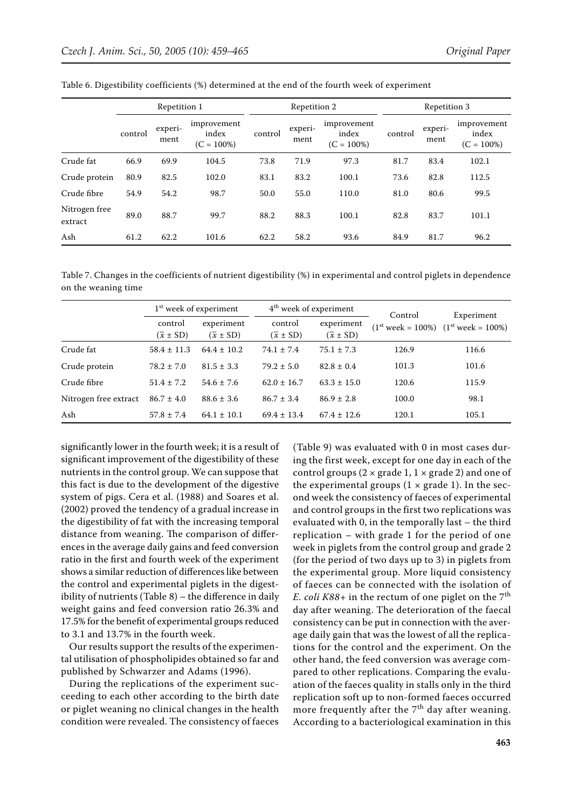|                          | Repetition 1 |                 |                                       |         | Repetition 2    |                                       | Repetition 3 |                 |                                       |  |
|--------------------------|--------------|-----------------|---------------------------------------|---------|-----------------|---------------------------------------|--------------|-----------------|---------------------------------------|--|
|                          | control      | experi-<br>ment | improvement<br>index<br>$(C = 100\%)$ | control | experi-<br>ment | improvement<br>index<br>$(C = 100\%)$ | control      | experi-<br>ment | improvement<br>index<br>$(C = 100\%)$ |  |
| Crude fat                | 66.9         | 69.9            | 104.5                                 | 73.8    | 71.9            | 97.3                                  | 81.7         | 83.4            | 102.1                                 |  |
| Crude protein            | 80.9         | 82.5            | 102.0                                 | 83.1    | 83.2            | 100.1                                 | 73.6         | 82.8            | 112.5                                 |  |
| Crude fibre              | 54.9         | 54.2            | 98.7                                  | 50.0    | 55.0            | 110.0                                 | 81.0         | 80.6            | 99.5                                  |  |
| Nitrogen free<br>extract | 89.0         | 88.7            | 99.7                                  | 88.2    | 88.3            | 100.1                                 | 82.8         | 83.7            | 101.1                                 |  |
| Ash                      | 61.2         | 62.2            | 101.6                                 | 62.2    | 58.2            | 93.6                                  | 84.9         | 81.7            | 96.2                                  |  |

Table 6. Digestibility coefficients (%) determined at the end of the fourth week of experiment

Table 7. Changes in the coefficients of nutrient digestibility (%) in experimental and control piglets in dependence on the weaning time

|                       |                               | 1 <sup>st</sup> week of experiment | $4th$ week of experiment      |                                  | Control | Experiment<br>$(1^{st}$ week = 100%) $(1^{st}$ week = 100%) |  |
|-----------------------|-------------------------------|------------------------------------|-------------------------------|----------------------------------|---------|-------------------------------------------------------------|--|
|                       | control<br>$(\bar{x} \pm SD)$ | experiment<br>$(\bar{x} \pm SD)$   | control<br>$(\bar{x} \pm SD)$ | experiment<br>$(\bar{x} \pm SD)$ |         |                                                             |  |
| Crude fat             | $58.4 \pm 11.3$               | $64.4 \pm 10.2$                    | $74.1 \pm 7.4$                | $75.1 \pm 7.3$                   | 126.9   | 116.6                                                       |  |
| Crude protein         | $78.2 \pm 7.0$                | $81.5 \pm 3.3$                     | $79.2 \pm 5.0$                | $82.8 \pm 0.4$                   | 101.3   | 101.6                                                       |  |
| Crude fibre           | $51.4 \pm 7.2$                | $54.6 \pm 7.6$                     | $62.0 \pm 16.7$               | $63.3 \pm 15.0$                  | 120.6   | 115.9                                                       |  |
| Nitrogen free extract | $86.7 \pm 4.0$                | $88.6 \pm 3.6$                     | $86.7 \pm 3.4$                | $86.9 \pm 2.8$                   | 100.0   | 98.1                                                        |  |
| Ash                   | $57.8 \pm 7.4$                | $64.1 \pm 10.1$                    | $69.4 \pm 13.4$               | $67.4 \pm 12.6$                  | 120.1   | 105.1                                                       |  |

significantly lower in the fourth week; it is a result of significant improvement of the digestibility of these nutrients in the control group. We can suppose that this fact is due to the development of the digestive system of pigs. Cera et al. (1988) and Soares et al. (2002) proved the tendency of a gradual increase in the digestibility of fat with the increasing temporal distance from weaning. The comparison of differences in the average daily gains and feed conversion ratio in the first and fourth week of the experiment shows a similar reduction of differences like between the control and experimental piglets in the digestibility of nutrients (Table 8) – the difference in daily weight gains and feed conversion ratio 26.3% and 17.5% for the benefit of experimental groups reduced to 3.1 and 13.7% in the fourth week.

Our results support the results of the experimental utilisation of phospholipides obtained so far and published by Schwarzer and Adams (1996).

During the replications of the experiment succeeding to each other according to the birth date or piglet weaning no clinical changes in the health condition were revealed. The consistency of faeces (Table 9) was evaluated with 0 in most cases during the first week, except for one day in each of the control groups ( $2 \times$  grade 1,  $1 \times$  grade 2) and one of the experimental groups  $(1 \times \text{grade } 1)$ . In the second week the consistency of faeces of experimental and control groups in the first two replications was evaluated with 0, in the temporally last – the third replication – with grade 1 for the period of one week in piglets from the control group and grade 2 (for the period of two days up to 3) in piglets from the experimental group. More liquid consistency of faeces can be connected with the isolation of *E. coli K88*+ in the rectum of one piglet on the 7<sup>th</sup> day after weaning. The deterioration of the faecal consistency can be put in connection with the average daily gain that was the lowest of all the replications for the control and the experiment. On the other hand, the feed conversion was average compared to other replications. Comparing the evaluation of the faeces quality in stalls only in the third replication soft up to non-formed faeces occurred more frequently after the  $7<sup>th</sup>$  day after weaning. According to a bacteriological examination in this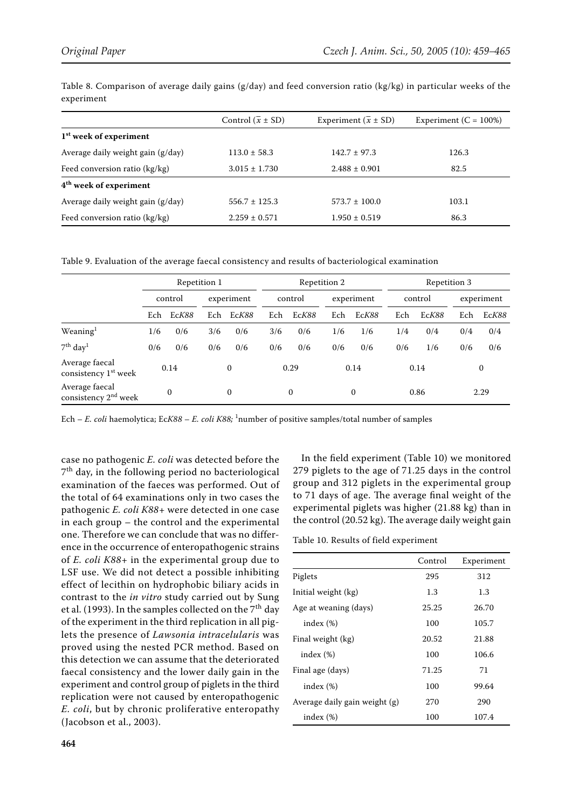Table 8. Comparison of average daily gains (g/day) and feed conversion ratio (kg/kg) in particular weeks of the experiment

|                                    | Control $(\bar{x} \pm SD)$ | Experiment ( $\bar{x} \pm SD$ ) | Experiment $(C = 100\%)$ |
|------------------------------------|----------------------------|---------------------------------|--------------------------|
| 1 <sup>st</sup> week of experiment |                            |                                 |                          |
| Average daily weight gain (g/day)  | $113.0 \pm 58.3$           | $142.7 \pm 97.3$                | 126.3                    |
| Feed conversion ratio (kg/kg)      | $3.015 \pm 1.730$          | $2.488 \pm 0.901$               | 82.5                     |
| 4 <sup>th</sup> week of experiment |                            |                                 |                          |
| Average daily weight gain (g/day)  | $556.7 \pm 125.3$          | $573.7 \pm 100.0$               | 103.1                    |
| Feed conversion ratio (kg/kg)      | $2.259 \pm 0.571$          | $1.950 \pm 0.519$               | 86.3                     |

Table 9. Evaluation of the average faecal consistency and results of bacteriological examination

|                                                    | Repetition 1 |              |            |              | Repetition 2 |              |            | Repetition 3 |         |       |            |              |
|----------------------------------------------------|--------------|--------------|------------|--------------|--------------|--------------|------------|--------------|---------|-------|------------|--------------|
|                                                    | control      |              | experiment |              | control      |              | experiment |              | control |       | experiment |              |
|                                                    | Ech          | EcK88        | Ech        | EcK88        | Ech          | EcK88        | Ech        | EcK88        | Ech     | EcK88 | Ech        | EcK88        |
| Weaning                                            | 1/6          | 0/6          | 3/6        | 0/6          | 3/6          | 0/6          | 1/6        | 1/6          | 1/4     | 0/4   | 0/4        | 0/4          |
| $7th$ day <sup>1</sup>                             | 0/6          | 0/6          | 0/6        | 0/6          | 0/6          | 0/6          | 0/6        | 0/6          | 0/6     | 1/6   | 0/6        | 0/6          |
| Average faecal<br>consistency 1 <sup>st</sup> week |              | 0.14         |            | $\Omega$     |              | 0.29         |            | 0.14         |         | 0.14  |            | $\mathbf{0}$ |
| Average faecal<br>consistency 2 <sup>nd</sup> week |              | $\mathbf{0}$ |            | $\mathbf{0}$ |              | $\mathbf{0}$ |            | 0            |         | 0.86  |            | 2.29         |

Ech – *E. coli* haemolytica; Ec*K88* – *E. coli K88;* <sup>1</sup> number of positive samples/total number of samples

case no pathogenic *E. coli* was detected before the  $7<sup>th</sup>$  day, in the following period no bacteriological examination of the faeces was performed. Out of the total of 64 examinations only in two cases the pathogenic *E. coli K88*+ were detected in one case in each group – the control and the experimental one. Therefore we can conclude that was no difference in the occurrence of enteropathogenic strains of *E. coli K88*+ in the experimental group due to LSF use. We did not detect a possible inhibiting effect of lecithin on hydrophobic biliary acids in contrast to the *in vitro* study carried out by Sung et al. (1993). In the samples collected on the  $7<sup>th</sup>$  day of the experiment in the third replication in all piglets the presence of *Lawsonia intracelularis* was proved using the nested PCR method. Based on this detection we can assume that the deteriorated faecal consistency and the lower daily gain in the experiment and control group of piglets in the third replication were not caused by enteropathogenic *E. coli*, but by chronic proliferative enteropathy (Jacobson et al., 2003).

In the field experiment (Table 10) we monitored 279 piglets to the age of 71.25 days in the control group and 312 piglets in the experimental group to 71 days of age. The average final weight of the experimental piglets was higher (21.88 kg) than in the control (20.52 kg). The average daily weight gain

### Table 10. Results of field experiment

|                               | Control | Experiment |
|-------------------------------|---------|------------|
| Piglets                       | 295     | 312        |
| Initial weight (kg)           | 1.3     | 1.3        |
| Age at weaning (days)         | 25.25   | 26.70      |
| index $(\%)$                  | 100     | 105.7      |
| Final weight (kg)             | 20.52   | 21.88      |
| index $(\%)$                  | 100     | 106.6      |
| Final age (days)              | 71.25   | 71         |
| index $(\%)$                  | 100     | 99.64      |
| Average daily gain weight (g) | 270     | 290        |
| index $(\%)$                  | 100     | 107.4      |